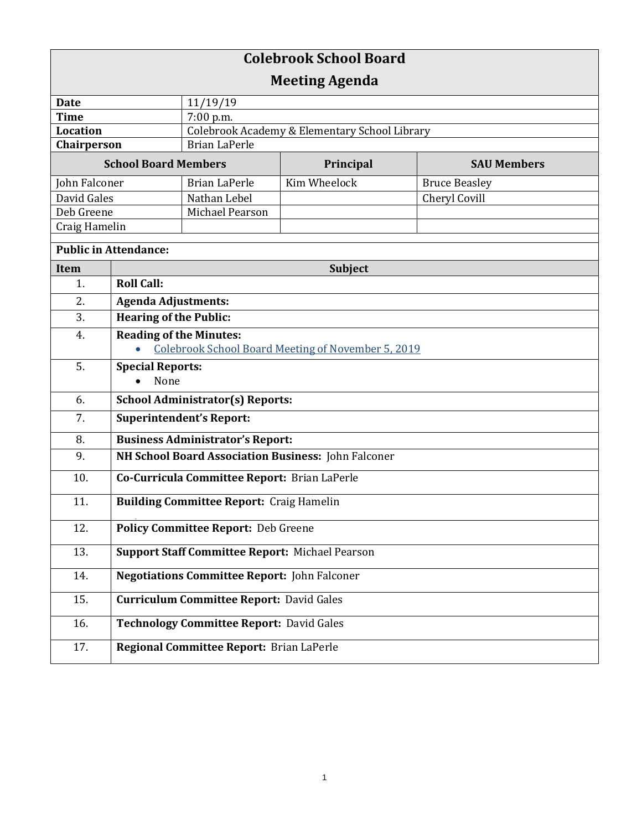| <b>Colebrook School Board</b> |                                                           |                                               |              |                      |  |
|-------------------------------|-----------------------------------------------------------|-----------------------------------------------|--------------|----------------------|--|
| <b>Meeting Agenda</b>         |                                                           |                                               |              |                      |  |
| <b>Date</b>                   |                                                           | 11/19/19                                      |              |                      |  |
| <b>Time</b>                   |                                                           | 7:00 p.m.                                     |              |                      |  |
| <b>Location</b>               |                                                           | Colebrook Academy & Elementary School Library |              |                      |  |
| Chairperson                   |                                                           | <b>Brian LaPerle</b>                          |              |                      |  |
| <b>School Board Members</b>   |                                                           |                                               | Principal    | <b>SAU Members</b>   |  |
| John Falconer                 |                                                           | <b>Brian LaPerle</b>                          | Kim Wheelock | <b>Bruce Beasley</b> |  |
| David Gales                   |                                                           | Nathan Lebel                                  |              | Cheryl Covill        |  |
| Deb Greene                    |                                                           | Michael Pearson                               |              |                      |  |
| Craig Hamelin                 |                                                           |                                               |              |                      |  |
| <b>Public in Attendance:</b>  |                                                           |                                               |              |                      |  |
| <b>Item</b>                   | <b>Subject</b>                                            |                                               |              |                      |  |
| 1.                            | <b>Roll Call:</b>                                         |                                               |              |                      |  |
| 2.                            | <b>Agenda Adjustments:</b>                                |                                               |              |                      |  |
| 3.                            | <b>Hearing of the Public:</b>                             |                                               |              |                      |  |
| 4.                            | <b>Reading of the Minutes:</b>                            |                                               |              |                      |  |
|                               | <b>Colebrook School Board Meeting of November 5, 2019</b> |                                               |              |                      |  |
| 5.                            | <b>Special Reports:</b>                                   |                                               |              |                      |  |
|                               | None                                                      |                                               |              |                      |  |
| 6.                            | <b>School Administrator(s) Reports:</b>                   |                                               |              |                      |  |
| 7.                            | <b>Superintendent's Report:</b>                           |                                               |              |                      |  |
| 8.                            | <b>Business Administrator's Report:</b>                   |                                               |              |                      |  |
| 9.                            | NH School Board Association Business: John Falconer       |                                               |              |                      |  |
| 10.                           | Co-Curricula Committee Report: Brian LaPerle              |                                               |              |                      |  |
| 11.                           | <b>Building Committee Report: Craig Hamelin</b>           |                                               |              |                      |  |
| 12.                           | <b>Policy Committee Report: Deb Greene</b>                |                                               |              |                      |  |
| 13.                           | <b>Support Staff Committee Report: Michael Pearson</b>    |                                               |              |                      |  |
| 14.                           | <b>Negotiations Committee Report: John Falconer</b>       |                                               |              |                      |  |
| 15.                           | <b>Curriculum Committee Report: David Gales</b>           |                                               |              |                      |  |
| 16.                           | <b>Technology Committee Report: David Gales</b>           |                                               |              |                      |  |
| 17.                           |                                                           | Regional Committee Report: Brian LaPerle      |              |                      |  |